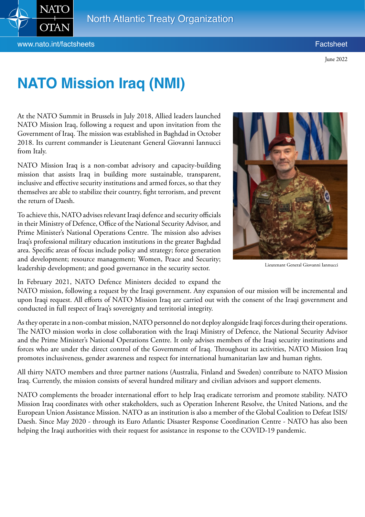

## **NATO Mission Iraq (NMI)**

At the NATO Summit in Brussels in July 2018, Allied leaders launched NATO Mission Iraq, following a request and upon invitation from the Government of Iraq. The mission was established in Baghdad in October 2018. Its current commander is Lieutenant General Giovanni Iannucci from Italy.

NATO Mission Iraq is a non-combat advisory and capacity-building mission that assists Iraq in building more sustainable, transparent, inclusive and effective security institutions and armed forces, so that they themselves are able to stabilize their country, fight terrorism, and prevent the return of Daesh.

To achieve this, NATO advises relevant Iraqi defence and security officials in their Ministry of Defence, Office of the National Security Advisor, and Prime Minister's National Operations Centre. The mission also advises Iraq's professional military education institutions in the greater Baghdad area. Specific areas of focus include policy and strategy; force generation and development; resource management; Women, Peace and Security; leadership development; and good governance in the security sector.



Lieutenant General Giovanni Iannucci

In February 2021, NATO Defence Ministers decided to expand the

NATO mission, following a request by the Iraqi government. Any expansion of our mission will be incremental and upon Iraqi request. All efforts of NATO Mission Iraq are carried out with the consent of the Iraqi government and conducted in full respect of Iraq's sovereignty and territorial integrity.

As they operate in a non-combat mission, NATO personnel do not deploy alongside Iraqi forces during their operations. The NATO mission works in close collaboration with the Iraqi Ministry of Defence, the National Security Advisor and the Prime Minister's National Operations Centre. It only advises members of the Iraqi security institutions and forces who are under the direct control of the Government of Iraq. Throughout its activities, NATO Mission Iraq promotes inclusiveness, gender awareness and respect for international humanitarian law and human rights.

All thirty NATO members and three partner nations (Australia, Finland and Sweden) contribute to NATO Mission Iraq. Currently, the mission consists of several hundred military and civilian advisors and support elements.

NATO complements the broader international effort to help Iraq eradicate terrorism and promote stability. NATO Mission Iraq coordinates with other stakeholders, such as Operation Inherent Resolve, the United Nations, and the European Union Assistance Mission. NATO as an institution is also a member of the Global Coalition to Defeat ISIS/ Daesh. Since May 2020 - through its Euro Atlantic Disaster Response Coordination Centre - NATO has also been helping the Iraqi authorities with their request for assistance in response to the COVID-19 pandemic.